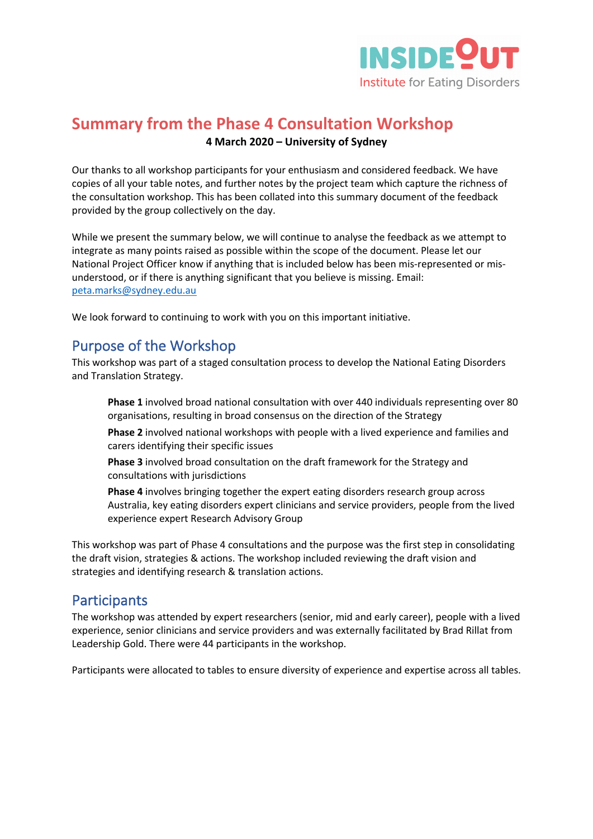

# **Summary from the Phase 4 Consultation Workshop 4 March 2020 – University of Sydney**

Our thanks to all workshop participants for your enthusiasm and considered feedback. We have copies of all your table notes, and further notes by the project team which capture the richness of the consultation workshop. This has been collated into this summary document of the feedback provided by the group collectively on the day.

While we present the summary below, we will continue to analyse the feedback as we attempt to integrate as many points raised as possible within the scope of the document. Please let our National Project Officer know if anything that is included below has been mis-represented or misunderstood, or if there is anything significant that you believe is missing. Email: peta.marks@sydney.edu.au

We look forward to continuing to work with you on this important initiative.

# Purpose of the Workshop

This workshop was part of a staged consultation process to develop the National Eating Disorders and Translation Strategy.

**Phase 1** involved broad national consultation with over 440 individuals representing over 80 organisations, resulting in broad consensus on the direction of the Strategy

**Phase 2** involved national workshops with people with a lived experience and families and carers identifying their specific issues

**Phase 3** involved broad consultation on the draft framework for the Strategy and consultations with jurisdictions

**Phase 4** involves bringing together the expert eating disorders research group across Australia, key eating disorders expert clinicians and service providers, people from the lived experience expert Research Advisory Group

This workshop was part of Phase 4 consultations and the purpose was the first step in consolidating the draft vision, strategies & actions. The workshop included reviewing the draft vision and strategies and identifying research & translation actions.

## **Participants**

The workshop was attended by expert researchers (senior, mid and early career), people with a lived experience, senior clinicians and service providers and was externally facilitated by Brad Rillat from Leadership Gold. There were 44 participants in the workshop.

Participants were allocated to tables to ensure diversity of experience and expertise across all tables.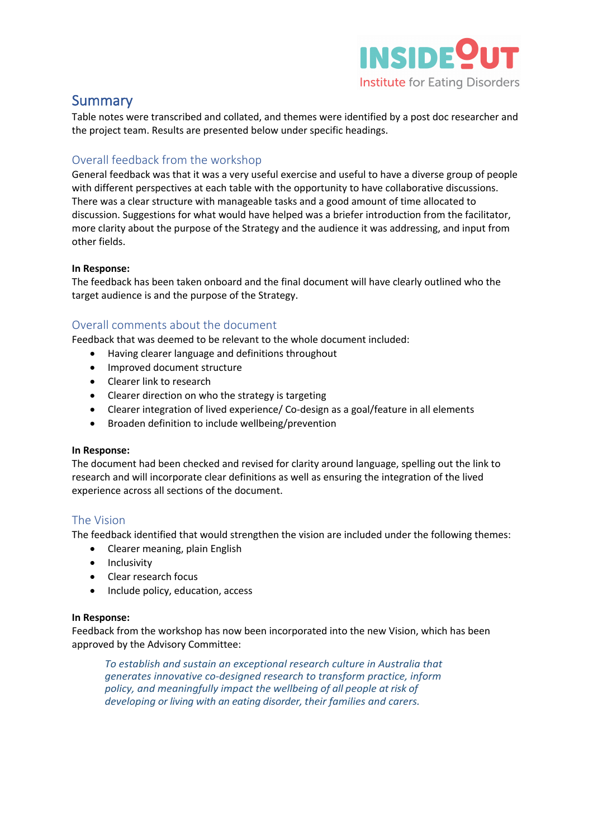

## **Summary**

Table notes were transcribed and collated, and themes were identified by a post doc researcher and the project team. Results are presented below under specific headings.

## Overall feedback from the workshop

General feedback was that it was a very useful exercise and useful to have a diverse group of people with different perspectives at each table with the opportunity to have collaborative discussions. There was a clear structure with manageable tasks and a good amount of time allocated to discussion. Suggestions for what would have helped was a briefer introduction from the facilitator, more clarity about the purpose of the Strategy and the audience it was addressing, and input from other fields.

#### **In Response:**

The feedback has been taken onboard and the final document will have clearly outlined who the target audience is and the purpose of the Strategy.

## Overall comments about the document

Feedback that was deemed to be relevant to the whole document included:

- Having clearer language and definitions throughout
- Improved document structure
- Clearer link to research
- Clearer direction on who the strategy is targeting
- Clearer integration of lived experience/ Co-design as a goal/feature in all elements
- Broaden definition to include wellbeing/prevention

#### **In Response:**

The document had been checked and revised for clarity around language, spelling out the link to research and will incorporate clear definitions as well as ensuring the integration of the lived experience across all sections of the document.

### The Vision

The feedback identified that would strengthen the vision are included under the following themes:

- Clearer meaning, plain English
- Inclusivity
- Clear research focus
- Include policy, education, access

#### **In Response:**

Feedback from the workshop has now been incorporated into the new Vision, which has been approved by the Advisory Committee:

*To establish and sustain an exceptional research culture in Australia that generates innovative co-designed research to transform practice, inform policy, and meaningfully impact the wellbeing of all people at risk of developing or living with an eating disorder, their families and carers.*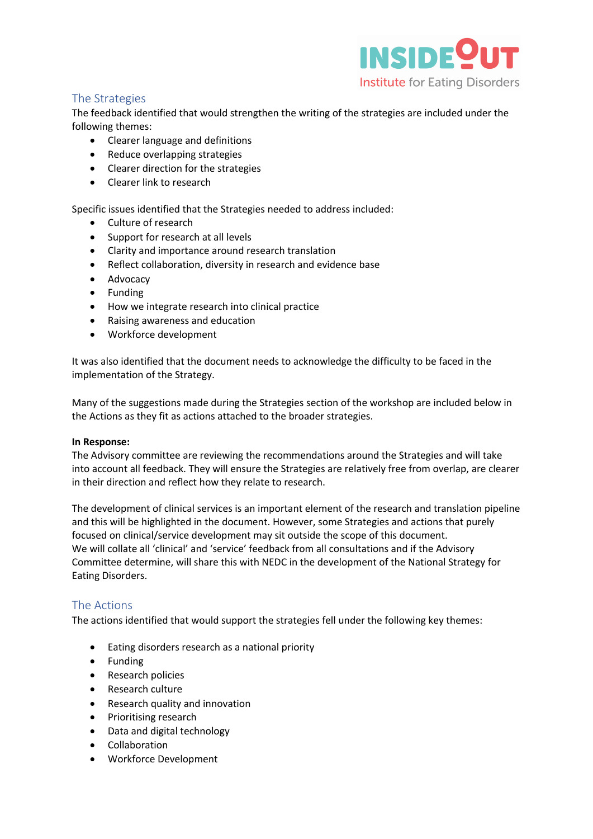

## The Strategies

The feedback identified that would strengthen the writing of the strategies are included under the following themes:

- Clearer language and definitions
- Reduce overlapping strategies
- Clearer direction for the strategies
- Clearer link to research

Specific issues identified that the Strategies needed to address included:

- Culture of research
- Support for research at all levels
- Clarity and importance around research translation
- Reflect collaboration, diversity in research and evidence base
- Advocacy
- Funding
- How we integrate research into clinical practice
- Raising awareness and education
- Workforce development

It was also identified that the document needs to acknowledge the difficulty to be faced in the implementation of the Strategy.

Many of the suggestions made during the Strategies section of the workshop are included below in the Actions as they fit as actions attached to the broader strategies.

#### **In Response:**

The Advisory committee are reviewing the recommendations around the Strategies and will take into account all feedback. They will ensure the Strategies are relatively free from overlap, are clearer in their direction and reflect how they relate to research.

The development of clinical services is an important element of the research and translation pipeline and this will be highlighted in the document. However, some Strategies and actions that purely focused on clinical/service development may sit outside the scope of this document. We will collate all 'clinical' and 'service' feedback from all consultations and if the Advisory Committee determine, will share this with NEDC in the development of the National Strategy for Eating Disorders.

### The Actions

The actions identified that would support the strategies fell under the following key themes:

- Eating disorders research as a national priority
- Funding
- Research policies
- Research culture
- Research quality and innovation
- Prioritising research
- Data and digital technology
- Collaboration
- Workforce Development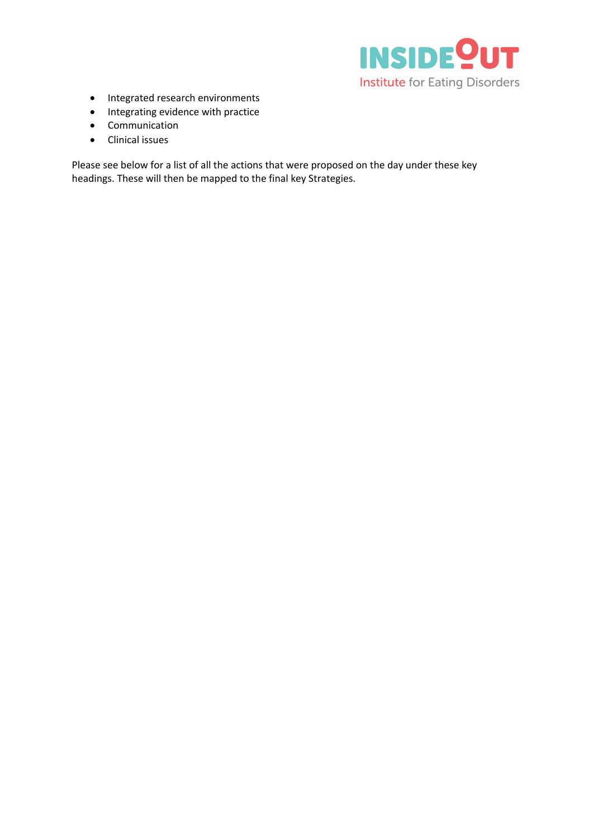

- Integrated research environments
- Integrating evidence with practice
- Communication
- Clinical issues

Please see below for a list of all the actions that were proposed on the day under these key headings. These will then be mapped to the final key Strategies.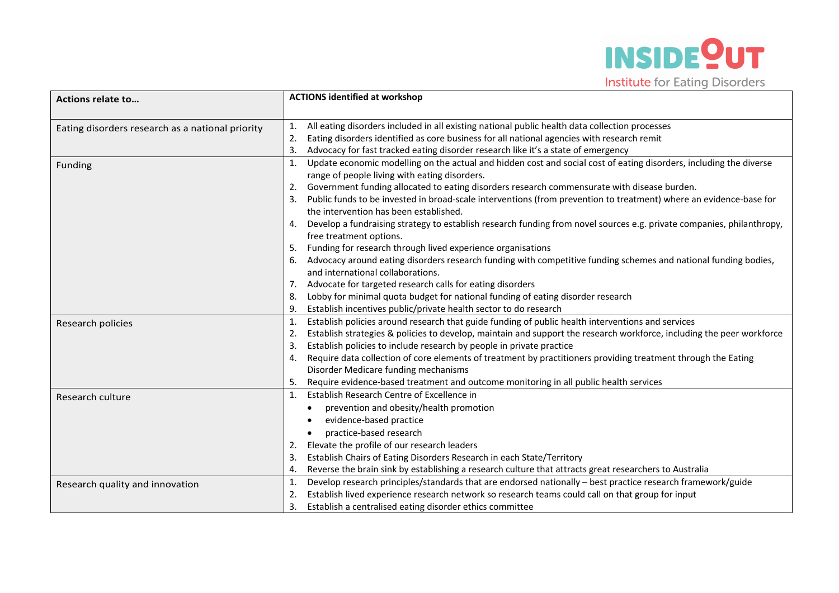

| <b>Actions relate to</b>                         | <b>ACTIONS identified at workshop</b>                                                                                       |  |
|--------------------------------------------------|-----------------------------------------------------------------------------------------------------------------------------|--|
|                                                  |                                                                                                                             |  |
| Eating disorders research as a national priority | All eating disorders included in all existing national public health data collection processes<br>1.                        |  |
|                                                  | Eating disorders identified as core business for all national agencies with research remit<br>2.                            |  |
|                                                  | Advocacy for fast tracked eating disorder research like it's a state of emergency<br>3.                                     |  |
| Funding                                          | Update economic modelling on the actual and hidden cost and social cost of eating disorders, including the diverse<br>1.    |  |
|                                                  | range of people living with eating disorders.                                                                               |  |
|                                                  | Government funding allocated to eating disorders research commensurate with disease burden.<br>2.                           |  |
|                                                  | Public funds to be invested in broad-scale interventions (from prevention to treatment) where an evidence-base for<br>3.    |  |
|                                                  | the intervention has been established.                                                                                      |  |
|                                                  | Develop a fundraising strategy to establish research funding from novel sources e.g. private companies, philanthropy,       |  |
|                                                  | free treatment options.                                                                                                     |  |
|                                                  | Funding for research through lived experience organisations<br>5.                                                           |  |
|                                                  | Advocacy around eating disorders research funding with competitive funding schemes and national funding bodies,             |  |
|                                                  | and international collaborations.                                                                                           |  |
|                                                  | Advocate for targeted research calls for eating disorders<br>7.                                                             |  |
|                                                  | Lobby for minimal quota budget for national funding of eating disorder research<br>8.                                       |  |
|                                                  | Establish incentives public/private health sector to do research<br>9.                                                      |  |
| Research policies                                | Establish policies around research that guide funding of public health interventions and services<br>1.                     |  |
|                                                  | Establish strategies & policies to develop, maintain and support the research workforce, including the peer workforce<br>2. |  |
|                                                  | Establish policies to include research by people in private practice<br>3.                                                  |  |
|                                                  | Require data collection of core elements of treatment by practitioners providing treatment through the Eating<br>4.         |  |
|                                                  | Disorder Medicare funding mechanisms                                                                                        |  |
|                                                  | Require evidence-based treatment and outcome monitoring in all public health services<br>5.                                 |  |
| Research culture                                 | Establish Research Centre of Excellence in<br>1.                                                                            |  |
|                                                  | prevention and obesity/health promotion                                                                                     |  |
|                                                  | evidence-based practice                                                                                                     |  |
|                                                  | practice-based research                                                                                                     |  |
|                                                  | Elevate the profile of our research leaders<br>2.                                                                           |  |
|                                                  | Establish Chairs of Eating Disorders Research in each State/Territory<br>3.                                                 |  |
|                                                  | Reverse the brain sink by establishing a research culture that attracts great researchers to Australia<br>4.                |  |
| Research quality and innovation                  | Develop research principles/standards that are endorsed nationally - best practice research framework/guide<br>1.           |  |
|                                                  | Establish lived experience research network so research teams could call on that group for input<br>2.                      |  |
|                                                  | 3.<br>Establish a centralised eating disorder ethics committee                                                              |  |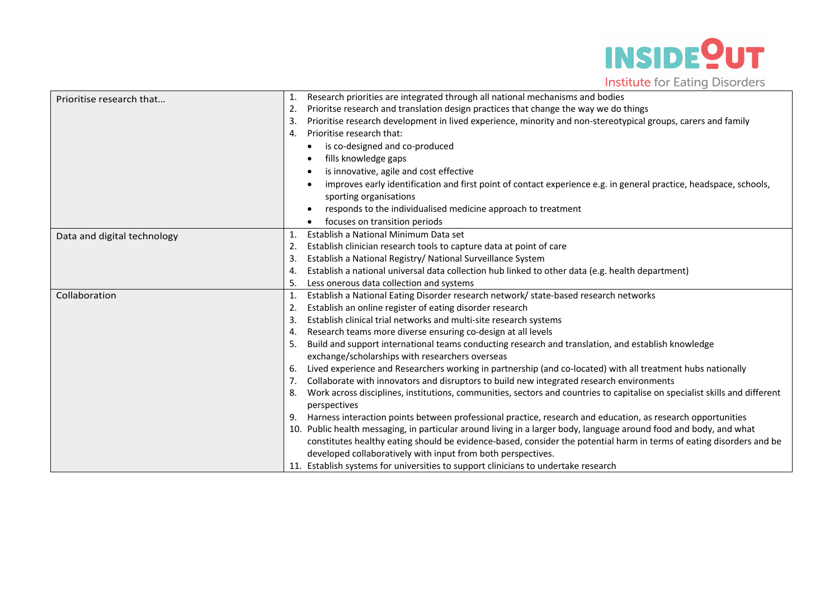

| Prioritise research that    | Research priorities are integrated through all national mechanisms and bodies<br>1.                                              |
|-----------------------------|----------------------------------------------------------------------------------------------------------------------------------|
|                             | Prioritse research and translation design practices that change the way we do things<br>2.                                       |
|                             | Prioritise research development in lived experience, minority and non-stereotypical groups, carers and family<br>3.              |
|                             | Prioritise research that:<br>4.                                                                                                  |
|                             | is co-designed and co-produced                                                                                                   |
|                             | fills knowledge gaps                                                                                                             |
|                             | is innovative, agile and cost effective                                                                                          |
|                             | improves early identification and first point of contact experience e.g. in general practice, headspace, schools,                |
|                             | sporting organisations                                                                                                           |
|                             | responds to the individualised medicine approach to treatment                                                                    |
|                             | focuses on transition periods                                                                                                    |
| Data and digital technology | Establish a National Minimum Data set<br>1.                                                                                      |
|                             | Establish clinician research tools to capture data at point of care<br>2.                                                        |
|                             | Establish a National Registry/ National Surveillance System<br>3.                                                                |
|                             | Establish a national universal data collection hub linked to other data (e.g. health department)<br>4.                           |
|                             | Less onerous data collection and systems<br>5.                                                                                   |
| Collaboration               | Establish a National Eating Disorder research network/ state-based research networks<br>1.                                       |
|                             | Establish an online register of eating disorder research<br>2.                                                                   |
|                             | Establish clinical trial networks and multi-site research systems<br>3.                                                          |
|                             | Research teams more diverse ensuring co-design at all levels<br>4.                                                               |
|                             | Build and support international teams conducting research and translation, and establish knowledge<br>5.                         |
|                             | exchange/scholarships with researchers overseas                                                                                  |
|                             | Lived experience and Researchers working in partnership (and co-located) with all treatment hubs nationally<br>6.                |
|                             | Collaborate with innovators and disruptors to build new integrated research environments<br>7.                                   |
|                             | Work across disciplines, institutions, communities, sectors and countries to capitalise on specialist skills and different<br>8. |
|                             | perspectives                                                                                                                     |
|                             | Harness interaction points between professional practice, research and education, as research opportunities<br>9.                |
|                             | 10. Public health messaging, in particular around living in a larger body, language around food and body, and what               |
|                             | constitutes healthy eating should be evidence-based, consider the potential harm in terms of eating disorders and be             |
|                             | developed collaboratively with input from both perspectives.                                                                     |
|                             | 11. Establish systems for universities to support clinicians to undertake research                                               |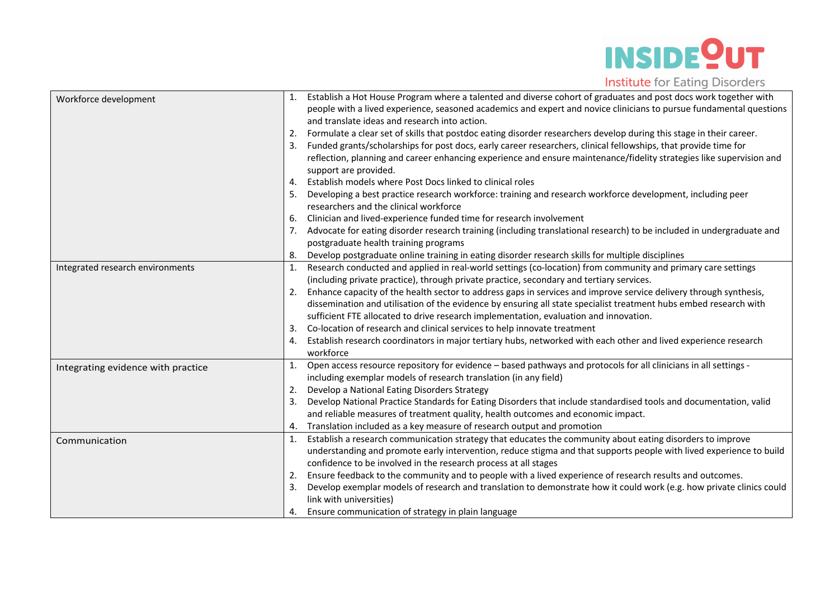

| Workforce development              |    | Establish a Hot House Program where a talented and diverse cohort of graduates and post docs work together with       |
|------------------------------------|----|-----------------------------------------------------------------------------------------------------------------------|
|                                    |    | people with a lived experience, seasoned academics and expert and novice clinicians to pursue fundamental questions   |
|                                    |    | and translate ideas and research into action.                                                                         |
|                                    | 2. | Formulate a clear set of skills that postdoc eating disorder researchers develop during this stage in their career.   |
|                                    |    | Funded grants/scholarships for post docs, early career researchers, clinical fellowships, that provide time for       |
|                                    |    | reflection, planning and career enhancing experience and ensure maintenance/fidelity strategies like supervision and  |
|                                    |    | support are provided.                                                                                                 |
|                                    | 4. | Establish models where Post Docs linked to clinical roles                                                             |
|                                    |    | Developing a best practice research workforce: training and research workforce development, including peer            |
|                                    |    | researchers and the clinical workforce                                                                                |
|                                    | 6. | Clinician and lived-experience funded time for research involvement                                                   |
|                                    | 7. | Advocate for eating disorder research training (including translational research) to be included in undergraduate and |
|                                    |    | postgraduate health training programs                                                                                 |
|                                    | 8. | Develop postgraduate online training in eating disorder research skills for multiple disciplines                      |
| Integrated research environments   | 1. | Research conducted and applied in real-world settings (co-location) from community and primary care settings          |
|                                    |    | (including private practice), through private practice, secondary and tertiary services.                              |
|                                    | 2. | Enhance capacity of the health sector to address gaps in services and improve service delivery through synthesis,     |
|                                    |    | dissemination and utilisation of the evidence by ensuring all state specialist treatment hubs embed research with     |
|                                    |    | sufficient FTE allocated to drive research implementation, evaluation and innovation.                                 |
|                                    | 3. | Co-location of research and clinical services to help innovate treatment                                              |
|                                    | 4. | Establish research coordinators in major tertiary hubs, networked with each other and lived experience research       |
|                                    |    | workforce                                                                                                             |
| Integrating evidence with practice |    | Open access resource repository for evidence - based pathways and protocols for all clinicians in all settings -      |
|                                    |    | including exemplar models of research translation (in any field)                                                      |
|                                    | 2. | Develop a National Eating Disorders Strategy                                                                          |
|                                    | 3. | Develop National Practice Standards for Eating Disorders that include standardised tools and documentation, valid     |
|                                    |    | and reliable measures of treatment quality, health outcomes and economic impact.                                      |
|                                    | 4. | Translation included as a key measure of research output and promotion                                                |
| Communication                      | 1. | Establish a research communication strategy that educates the community about eating disorders to improve             |
|                                    |    | understanding and promote early intervention, reduce stigma and that supports people with lived experience to build   |
|                                    |    | confidence to be involved in the research process at all stages                                                       |
|                                    | 2. | Ensure feedback to the community and to people with a lived experience of research results and outcomes.              |
|                                    | 3. | Develop exemplar models of research and translation to demonstrate how it could work (e.g. how private clinics could  |
|                                    |    | link with universities)                                                                                               |
|                                    | 4. | Ensure communication of strategy in plain language                                                                    |